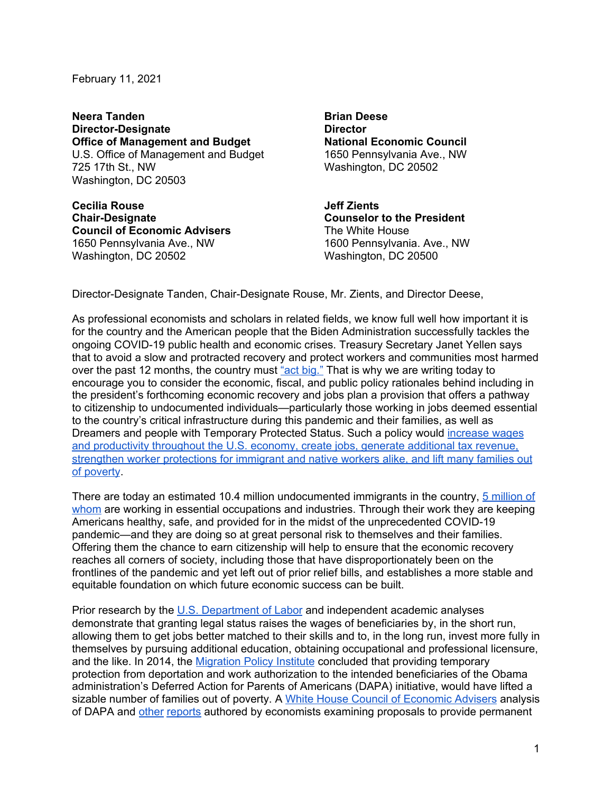February 11, 2021

**Neera Tanden Director-Designate Office of Management and Budget** U.S. Office of Management and Budget 725 17th St., NW Washington, DC 20503

**Cecilia Rouse Chair-Designate Council of Economic Advisers** 1650 Pennsylvania Ave., NW Washington, DC 20502

**Brian Deese Director National Economic Council** 1650 Pennsylvania Ave., NW Washington, DC 20502

**Jeff Zients Counselor to the President** The White House 1600 Pennsylvania. Ave., NW Washington, DC 20500

Director-Designate Tanden, Chair-Designate Rouse, Mr. Zients, and Director Deese,

As professional economists and scholars in related fields, we know full well how important it is for the country and the American people that the Biden Administration successfully tackles the ongoing COVID-19 public health and economic crises. Treasury Secretary Janet Yellen says that to avoid a slow and protracted recovery and protect workers and communities most harmed over the past 12 months, the country must "act [big."](https://www.cnbc.com/2021/01/18/yellen-says-us-must-act-big-on-next-coronavirus-relief-package.html) That is why we are writing today to encourage you to consider the economic, fiscal, and public policy rationales behind including in the president's forthcoming economic recovery and jobs plan a provision that offers a pathway to citizenship to undocumented individuals—particularly those working in jobs deemed essential to the country's critical infrastructure during this pandemic and their families, as well as Dreamers and people with Temporary Protected Status. Such a policy would [increase](https://www.scotusblog.com/wp-content/uploads/2016/03/15-674-tsac-Economists-AS-FILED.pdf) wages and [productivity](https://www.scotusblog.com/wp-content/uploads/2016/03/15-674-tsac-Economists-AS-FILED.pdf) throughout the U.S. economy, create jobs, generate additional tax revenue, strengthen worker [protections](https://www.scotusblog.com/wp-content/uploads/2016/03/15-674-tsac-Economists-AS-FILED.pdf) for immigrant and native workers alike, and lift many families out of [poverty](https://www.scotusblog.com/wp-content/uploads/2016/03/15-674-tsac-Economists-AS-FILED.pdf).

There are today an estimated 10.4 million undocumented immigrants in the country, 5 [million](https://www.americanprogress.org/issues/immigration/reports/2020/12/02/493307/protecting-undocumented-workers-pandemics-front-lines/) of [whom](https://www.americanprogress.org/issues/immigration/reports/2020/12/02/493307/protecting-undocumented-workers-pandemics-front-lines/) are working in essential occupations and industries. Through their work they are keeping Americans healthy, safe, and provided for in the midst of the unprecedented COVID-19 pandemic—and they are doing so at great personal risk to themselves and their families. Offering them the chance to earn citizenship will help to ensure that the economic recovery reaches all corners of society, including those that have disproportionately been on the frontlines of the pandemic and yet left out of prior relief bills, and establishes a more stable and equitable foundation on which future economic success can be built.

Prior research by the U.S. [Department](https://www.worldcat.org/title/characteristics-and-labor-market-behavior-of-the-legalized-population-five-years-following-legalization/oclc/51676893) of Labor and independent academic analyses demonstrate that granting legal status raises the wages of beneficiaries by, in the short run, allowing them to get jobs better matched to their skills and to, in the long run, invest more fully in themselves by pursuing additional education, obtaining occupational and professional licensure, and the like. In 2014, the [Migration](https://www.migrationpolicy.org/research/deferred-action-unauthorized-immigrant-parents-analysis-dapas-potential-effects-families) Policy Institute concluded that providing temporary protection from deportation and work authorization to the intended beneficiaries of the Obama administration's Deferred Action for Parents of Americans (DAPA) initiative, would have lifted a sizable number of families out of poverty. A White House Council of [Economic](https://obamawhitehouse.archives.gov/sites/default/files/docs/economic_effects_of_immigration_ea_february_2015_update_final_v2.pdf) Advisers [analysis](https://obamawhitehouse.archives.gov/sites/default/files/docs/economic_effects_of_immigration_ea_february_2015_update_final_v2.pdf) of [DAPA](https://obamawhitehouse.archives.gov/sites/default/files/docs/economic_effects_of_immigration_ea_february_2015_update_final_v2.pdf) and [other](https://www.americanprogress.org/issues/immigration/reports/2017/09/18/439134/economic-benefits-passing-dream-act/) [reports](https://www.americanprogress.org/issues/immigration/reports/2013/03/20/57351/the-economic-effects-of-granting-legal-status-and-citizenship-to-undocumented-immigrants/) authored by economists examining proposals to provide permanent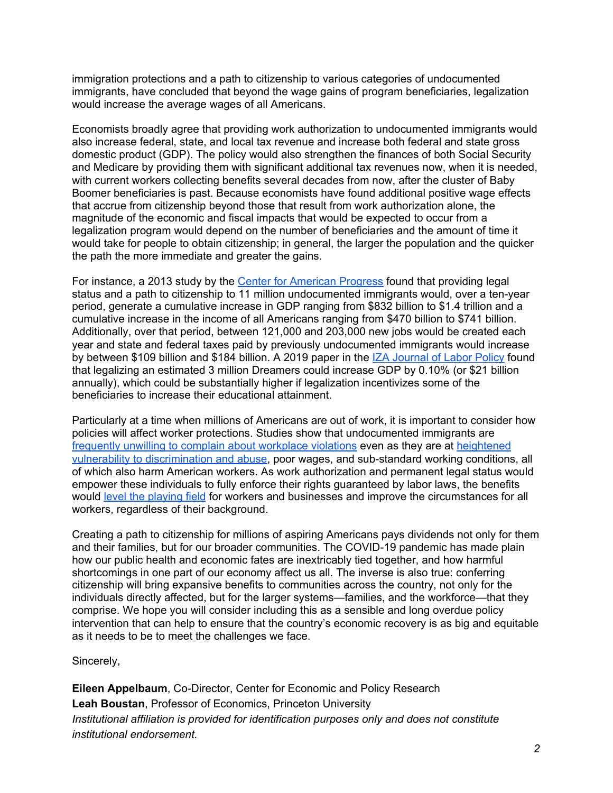immigration protections and a path to citizenship to various categories of undocumented immigrants, have concluded that beyond the wage gains of program beneficiaries, legalization would increase the average wages of all Americans.

Economists broadly agree that providing work authorization to undocumented immigrants would also increase federal, state, and local tax revenue and increase both federal and state gross domestic product (GDP). The policy would also strengthen the finances of both Social Security and Medicare by providing them with significant additional tax revenues now, when it is needed, with current workers collecting benefits several decades from now, after the cluster of Baby Boomer beneficiaries is past. Because economists have found additional positive wage effects that accrue from citizenship beyond those that result from work authorization alone, the magnitude of the economic and fiscal impacts that would be expected to occur from a legalization program would depend on the number of beneficiaries and the amount of time it would take for people to obtain citizenship; in general, the larger the population and the quicker the path the more immediate and greater the gains.

For instance, a 2013 study by the Center for [American](https://www.americanprogress.org/issues/immigration/reports/2013/03/20/57351/the-economic-effects-of-granting-legal-status-and-citizenship-to-undocumented-immigrants/) Progress found that providing legal status and a path to citizenship to 11 million undocumented immigrants would, over a ten-year period, generate a cumulative increase in GDP ranging from \$832 billion to \$1.4 trillion and a cumulative increase in the income of all Americans ranging from \$470 billion to \$741 billion. Additionally, over that period, between 121,000 and 203,000 new jobs would be created each year and state and federal taxes paid by previously undocumented immigrants would increase by between \$109 billion and \$184 billion. A 2019 paper in the IZA [Journal](https://content.sciendo.com/doi/10.2478/izajolp-2019-0005) of Labor Policy found that legalizing an estimated 3 million Dreamers could increase GDP by 0.10% (or \$21 billion annually), which could be substantially higher if legalization incentivizes some of the beneficiaries to increase their educational attainment.

Particularly at a time when millions of Americans are out of work, it is important to consider how policies will affect worker protections. Studies show that undocumented immigrants are frequently unwilling to complain about [workplace](https://www.nelp.org/publication/broken-laws-unprotected-workers-violations-of-employment-and-labor-laws-in-americas-cities/) violations even as they are at [heightened](https://www.ssa.uchicago.edu/advocates-forum-2020-workplace-discrimination-undocumented-immigrants) vulnerability to [discrimination](https://www.ssa.uchicago.edu/advocates-forum-2020-workplace-discrimination-undocumented-immigrants) and abuse, poor wages, and sub-standard working conditions, all of which also harm American workers. As work authorization and permanent legal status would empower these individuals to fully enforce their rights guaranteed by labor laws, the benefits would level the [playing](https://www.americanprogress.org/issues/immigration/reports/2013/09/12/74014/comprehensive-immigration-reform-will-benefit-american-workers/) field for workers and businesses and improve the circumstances for all workers, regardless of their background.

Creating a path to citizenship for millions of aspiring Americans pays dividends not only for them and their families, but for our broader communities. The COVID-19 pandemic has made plain how our public health and economic fates are inextricably tied together, and how harmful shortcomings in one part of our economy affect us all. The inverse is also true: conferring citizenship will bring expansive benefits to communities across the country, not only for the individuals directly affected, but for the larger systems—families, and the workforce—that they comprise. We hope you will consider including this as a sensible and long overdue policy intervention that can help to ensure that the country's economic recovery is as big and equitable as it needs to be to meet the challenges we face.

Sincerely,

**Eileen Appelbaum**, Co-Director, Center for Economic and Policy Research **Leah Boustan**, Professor of Economics, Princeton University *Institutional affiliation is provided for identification purposes only and does not constitute institutional endorsement.*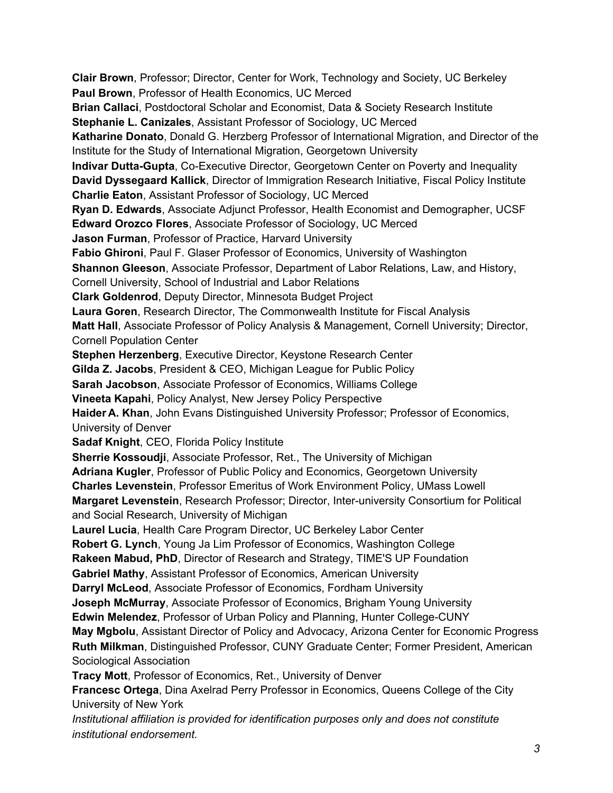**Clair Brown**, Professor; Director, Center for Work, Technology and Society, UC Berkeley **Paul Brown**, Professor of Health Economics, UC Merced **Brian Callaci**, Postdoctoral Scholar and Economist, Data & Society Research Institute **Stephanie L. Canizales**, Assistant Professor of Sociology, UC Merced **Katharine Donato**, Donald G. Herzberg Professor of International Migration, and Director of the Institute for the Study of International Migration, Georgetown University **Indivar Dutta-Gupta**, Co-Executive Director, Georgetown Center on Poverty and Inequality **David Dyssegaard Kallick**, Director of Immigration Research Initiative, Fiscal Policy Institute **Charlie Eaton**, Assistant Professor of Sociology, UC Merced **Ryan D. Edwards**, Associate Adjunct Professor, Health Economist and Demographer, UCSF **Edward Orozco Flores**, Associate Professor of Sociology, UC Merced **Jason Furman**, Professor of Practice, Harvard University **Fabio Ghironi**, Paul F. Glaser Professor of Economics, University of Washington **Shannon Gleeson**, Associate Professor, Department of Labor Relations, Law, and History, Cornell University, School of Industrial and Labor Relations **Clark Goldenrod**, Deputy Director, Minnesota Budget Project **Laura Goren**, Research Director, The Commonwealth Institute for Fiscal Analysis **Matt Hall**, Associate Professor of Policy Analysis & Management, Cornell University; Director, Cornell Population Center **Stephen Herzenberg**, Executive Director, Keystone Research Center **Gilda Z. Jacobs**, President & CEO, Michigan League for Public Policy **Sarah Jacobson**, Associate Professor of Economics, Williams College **Vineeta Kapahi**, Policy Analyst, New Jersey Policy Perspective **Haider A. Khan**, John Evans Distinguished University Professor; Professor of Economics, University of Denver **Sadaf Knight**, CEO, Florida Policy Institute **Sherrie Kossoudji**, Associate Professor, Ret., The University of Michigan **Adriana Kugler**, Professor of Public Policy and Economics, Georgetown University **Charles Levenstein**, Professor Emeritus of Work Environment Policy, UMass Lowell **Margaret Levenstein**, Research Professor; Director, Inter-university Consortium for Political and Social Research, University of Michigan **Laurel Lucia**, Health Care Program Director, UC Berkeley Labor Center **Robert G. Lynch**, Young Ja Lim Professor of Economics, Washington College **Rakeen Mabud, PhD**, Director of Research and Strategy, TIME'S UP Foundation **Gabriel Mathy**, Assistant Professor of Economics, American University **Darryl McLeod**, Associate Professor of Economics, Fordham University **Joseph McMurray**, Associate Professor of Economics, Brigham Young University **Edwin Melendez**, Professor of Urban Policy and Planning, Hunter College-CUNY **May Mgbolu**, Assistant Director of Policy and Advocacy, Arizona Center for Economic Progress **Ruth Milkman**, Distinguished Professor, CUNY Graduate Center; Former President, American Sociological Association **Tracy Mott**, Professor of Economics, Ret., University of Denver **Francesc Ortega**, Dina Axelrad Perry Professor in Economics, Queens College of the City University of New York

*Institutional affiliation is provided for identification purposes only and does not constitute institutional endorsement.*